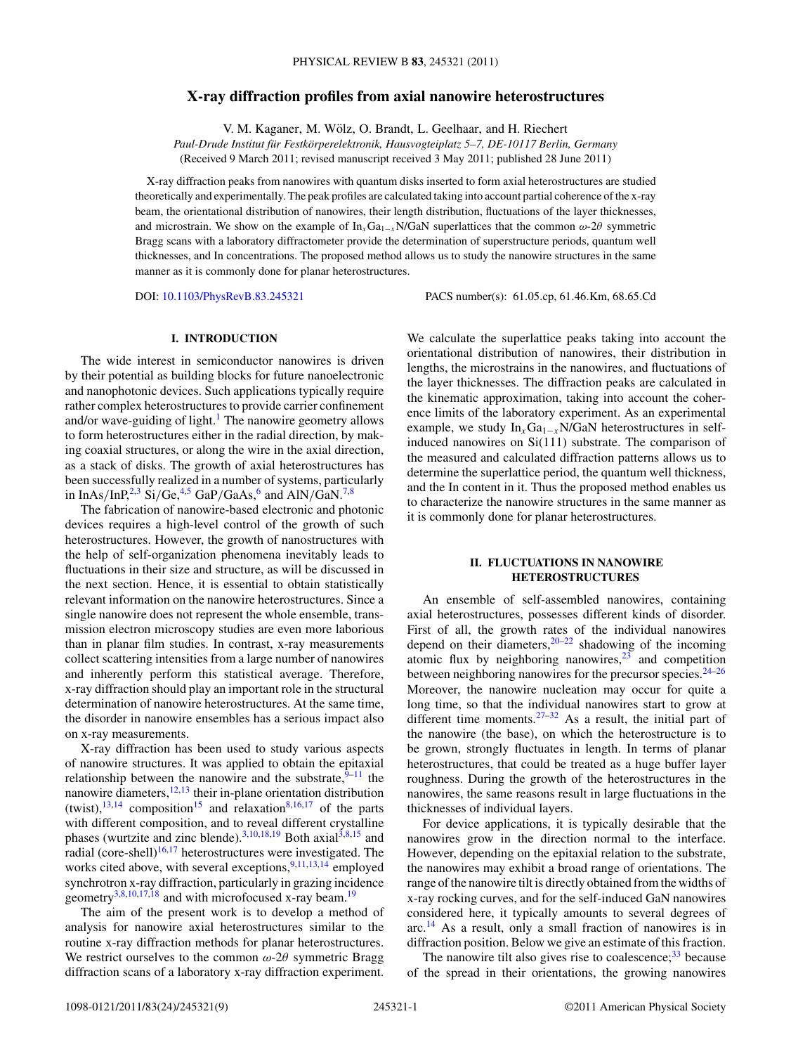# **X-ray diffraction profiles from axial nanowire heterostructures**

V. M. Kaganer, M. Wolz, O. Brandt, L. Geelhaar, and H. Riechert ¨

*Paul-Drude Institut fur Festk ¨ orperelektronik, Hausvogteiplatz 5–7, DE-10117 Berlin, Germany ¨*

(Received 9 March 2011; revised manuscript received 3 May 2011; published 28 June 2011)

X-ray diffraction peaks from nanowires with quantum disks inserted to form axial heterostructures are studied theoretically and experimentally. The peak profiles are calculated taking into account partial coherence of the x-ray beam, the orientational distribution of nanowires, their length distribution, fluctuations of the layer thicknesses, and microstrain. We show on the example of  $\text{In}_x\text{Ga}_{1-x}N/\text{Ga}N$  superlattices that the common  $\omega$ -2*θ* symmetric Bragg scans with a laboratory diffractometer provide the determination of superstructure periods, quantum well thicknesses, and In concentrations. The proposed method allows us to study the nanowire structures in the same manner as it is commonly done for planar heterostructures.

DOI: [10.1103/PhysRevB.83.245321](http://dx.doi.org/10.1103/PhysRevB.83.245321) PACS number(s): 61*.*05*.*cp, 61*.*46*.*Km, 68*.*65*.*Cd

# **I. INTRODUCTION**

The wide interest in semiconductor nanowires is driven by their potential as building blocks for future nanoelectronic and nanophotonic devices. Such applications typically require rather complex heterostructures to provide carrier confinement and/or wave-guiding of light.<sup>[1](#page-7-0)</sup> The nanowire geometry allows to form heterostructures either in the radial direction, by making coaxial structures, or along the wire in the axial direction, as a stack of disks. The growth of axial heterostructures has been successfully realized in a number of systems, particularly in InAs*/*InP,[2,3](#page-7-0) Si*/*Ge,[4,5](#page-7-0) GaP*/*GaAs,[6](#page-7-0) and AlN*/*GaN.[7,8](#page-7-0)

The fabrication of nanowire-based electronic and photonic devices requires a high-level control of the growth of such heterostructures. However, the growth of nanostructures with the help of self-organization phenomena inevitably leads to fluctuations in their size and structure, as will be discussed in the next section. Hence, it is essential to obtain statistically relevant information on the nanowire heterostructures. Since a single nanowire does not represent the whole ensemble, transmission electron microscopy studies are even more laborious than in planar film studies. In contrast, x-ray measurements collect scattering intensities from a large number of nanowires and inherently perform this statistical average. Therefore, x-ray diffraction should play an important role in the structural determination of nanowire heterostructures. At the same time, the disorder in nanowire ensembles has a serious impact also on x-ray measurements.

X-ray diffraction has been used to study various aspects of nanowire structures. It was applied to obtain the epitaxial relationship between the nanowire and the substrate,  $9-11$  the nanowire diameters, $12,13$  their in-plane orientation distribution (twist), $13,14$  composition<sup>15</sup> and relaxation<sup>8,16,17</sup> of the parts with different composition, and to reveal different crystalline phases (wurtzite and zinc blende). $^{3,10,18,19}$  $^{3,10,18,19}$  $^{3,10,18,19}$  Both axial $^{3,8,15}$  $^{3,8,15}$  $^{3,8,15}$  and radial (core-shell) $16,17$  heterostructures were investigated. The works cited above, with several exceptions,  $9,11,13,14$  employed synchrotron x-ray diffraction, particularly in grazing incidence geometry<sup>3,8,10,17,18</sup> and with microfocused x-ray beam.<sup>[19](#page-7-0)</sup>

The aim of the present work is to develop a method of analysis for nanowire axial heterostructures similar to the routine x-ray diffraction methods for planar heterostructures. We restrict ourselves to the common *ω*-2*θ* symmetric Bragg diffraction scans of a laboratory x-ray diffraction experiment. We calculate the superlattice peaks taking into account the orientational distribution of nanowires, their distribution in lengths, the microstrains in the nanowires, and fluctuations of the layer thicknesses. The diffraction peaks are calculated in the kinematic approximation, taking into account the coherence limits of the laboratory experiment. As an experimental example, we study  $In_xGa_{1-x}N/GaN$  heterostructures in selfinduced nanowires on Si(111) substrate. The comparison of the measured and calculated diffraction patterns allows us to determine the superlattice period, the quantum well thickness, and the In content in it. Thus the proposed method enables us to characterize the nanowire structures in the same manner as it is commonly done for planar heterostructures.

# **II. FLUCTUATIONS IN NANOWIRE HETEROSTRUCTURES**

An ensemble of self-assembled nanowires, containing axial heterostructures, possesses different kinds of disorder. First of all, the growth rates of the individual nanowires depend on their diameters,  $20-22$  $20-22$  shadowing of the incoming atomic flux by neighboring nanowires, $23$  and competition between neighboring nanowires for the precursor species. $24-26$ Moreover, the nanowire nucleation may occur for quite a long time, so that the individual nanowires start to grow at different time moments. $27-32$  As a result, the initial part of the nanowire (the base), on which the heterostructure is to be grown, strongly fluctuates in length. In terms of planar heterostructures, that could be treated as a huge buffer layer roughness. During the growth of the heterostructures in the nanowires, the same reasons result in large fluctuations in the thicknesses of individual layers.

For device applications, it is typically desirable that the nanowires grow in the direction normal to the interface. However, depending on the epitaxial relation to the substrate, the nanowires may exhibit a broad range of orientations. The range of the nanowire tilt is directly obtained from the widths of x-ray rocking curves, and for the self-induced GaN nanowires considered here, it typically amounts to several degrees of  $arc<sup>14</sup>$  $arc<sup>14</sup>$  $arc<sup>14</sup>$  As a result, only a small fraction of nanowires is in diffraction position. Below we give an estimate of this fraction.

The nanowire tilt also gives rise to coalescence; $33$  because of the spread in their orientations, the growing nanowires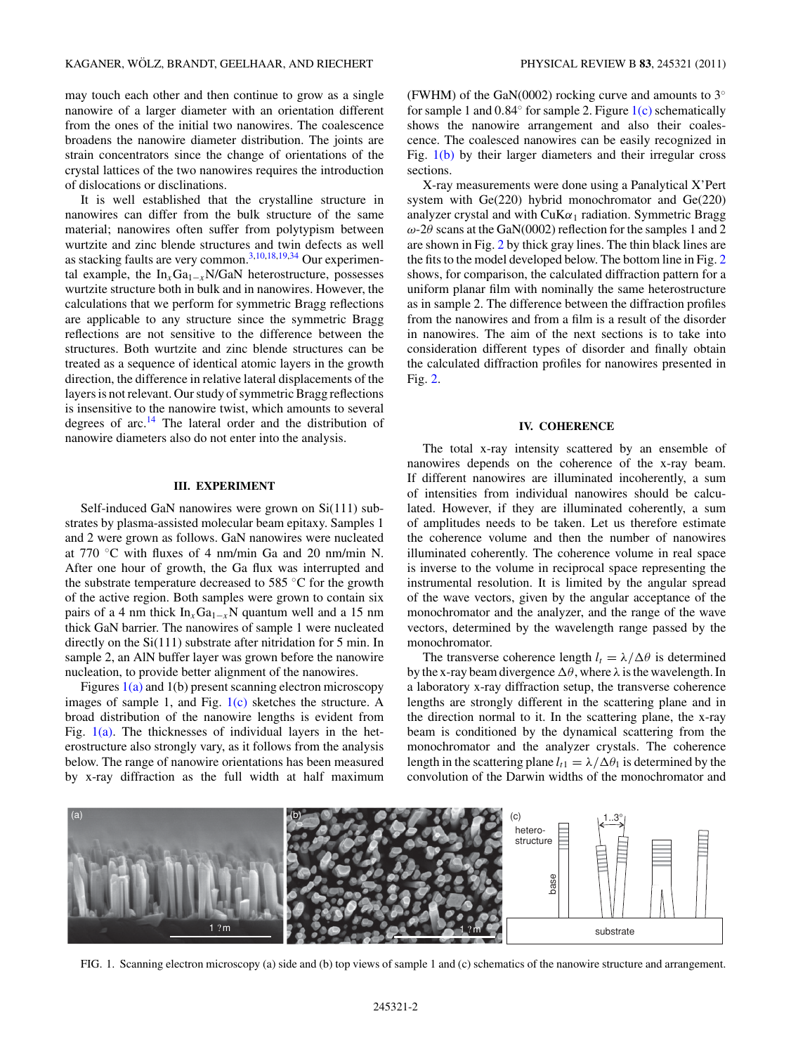<span id="page-1-0"></span>may touch each other and then continue to grow as a single nanowire of a larger diameter with an orientation different from the ones of the initial two nanowires. The coalescence broadens the nanowire diameter distribution. The joints are strain concentrators since the change of orientations of the crystal lattices of the two nanowires requires the introduction of dislocations or disclinations.

It is well established that the crystalline structure in nanowires can differ from the bulk structure of the same material; nanowires often suffer from polytypism between wurtzite and zinc blende structures and twin defects as well as stacking faults are very common.[3,10,18,19,](#page-7-0)[34](#page-8-0) Our experimental example, the  $In_xGa_{1-x}N/GaN$  heterostructure, possesses wurtzite structure both in bulk and in nanowires. However, the calculations that we perform for symmetric Bragg reflections are applicable to any structure since the symmetric Bragg reflections are not sensitive to the difference between the structures. Both wurtzite and zinc blende structures can be treated as a sequence of identical atomic layers in the growth direction, the difference in relative lateral displacements of the layers is not relevant. Our study of symmetric Bragg reflections is insensitive to the nanowire twist, which amounts to several degrees of arc.<sup>[14](#page-7-0)</sup> The lateral order and the distribution of nanowire diameters also do not enter into the analysis.

### **III. EXPERIMENT**

Self-induced GaN nanowires were grown on Si(111) substrates by plasma-assisted molecular beam epitaxy. Samples 1 and 2 were grown as follows. GaN nanowires were nucleated at 770 ◦C with fluxes of 4 nm/min Ga and 20 nm/min N. After one hour of growth, the Ga flux was interrupted and the substrate temperature decreased to 585 ◦C for the growth of the active region. Both samples were grown to contain six pairs of a 4 nm thick  $In_xGa_{1-x}N$  quantum well and a 15 nm thick GaN barrier. The nanowires of sample 1 were nucleated directly on the Si(111) substrate after nitridation for 5 min. In sample 2, an AlN buffer layer was grown before the nanowire nucleation, to provide better alignment of the nanowires.

Figures  $1(a)$  and  $1(b)$  present scanning electron microscopy images of sample 1, and Fig.  $1(c)$  sketches the structure. A broad distribution of the nanowire lengths is evident from Fig.  $1(a)$ . The thicknesses of individual layers in the heterostructure also strongly vary, as it follows from the analysis below. The range of nanowire orientations has been measured by x-ray diffraction as the full width at half maximum (FWHM) of the GaN(0002) rocking curve and amounts to  $3°$ for sample 1 and  $0.84°$  for sample 2. Figure  $1(c)$  schematically shows the nanowire arrangement and also their coalescence. The coalesced nanowires can be easily recognized in Fig. 1(b) by their larger diameters and their irregular cross sections.

X-ray measurements were done using a Panalytical X'Pert system with Ge(220) hybrid monochromator and Ge(220) analyzer crystal and with  $CuKa<sub>1</sub>$  radiation. Symmetric Bragg *ω*-2*θ* scans at the GaN(0002) reflection for the samples 1 and 2 are shown in Fig. [2](#page-2-0) by thick gray lines. The thin black lines are the fits to the model developed below. The bottom line in Fig. [2](#page-2-0) shows, for comparison, the calculated diffraction pattern for a uniform planar film with nominally the same heterostructure as in sample 2. The difference between the diffraction profiles from the nanowires and from a film is a result of the disorder in nanowires. The aim of the next sections is to take into consideration different types of disorder and finally obtain the calculated diffraction profiles for nanowires presented in Fig. [2.](#page-2-0)

# **IV. COHERENCE**

The total x-ray intensity scattered by an ensemble of nanowires depends on the coherence of the x-ray beam. If different nanowires are illuminated incoherently, a sum of intensities from individual nanowires should be calculated. However, if they are illuminated coherently, a sum of amplitudes needs to be taken. Let us therefore estimate the coherence volume and then the number of nanowires illuminated coherently. The coherence volume in real space is inverse to the volume in reciprocal space representing the instrumental resolution. It is limited by the angular spread of the wave vectors, given by the angular acceptance of the monochromator and the analyzer, and the range of the wave vectors, determined by the wavelength range passed by the monochromator.

The transverse coherence length  $l_t = \lambda/\Delta\theta$  is determined by the x-ray beam divergence  $\Delta\theta$ , where  $\lambda$  is the wavelength. In a laboratory x-ray diffraction setup, the transverse coherence lengths are strongly different in the scattering plane and in the direction normal to it. In the scattering plane, the x-ray beam is conditioned by the dynamical scattering from the monochromator and the analyzer crystals. The coherence length in the scattering plane  $l_{t1} = \lambda/\Delta\theta_1$  is determined by the convolution of the Darwin widths of the monochromator and



FIG. 1. Scanning electron microscopy (a) side and (b) top views of sample 1 and (c) schematics of the nanowire structure and arrangement.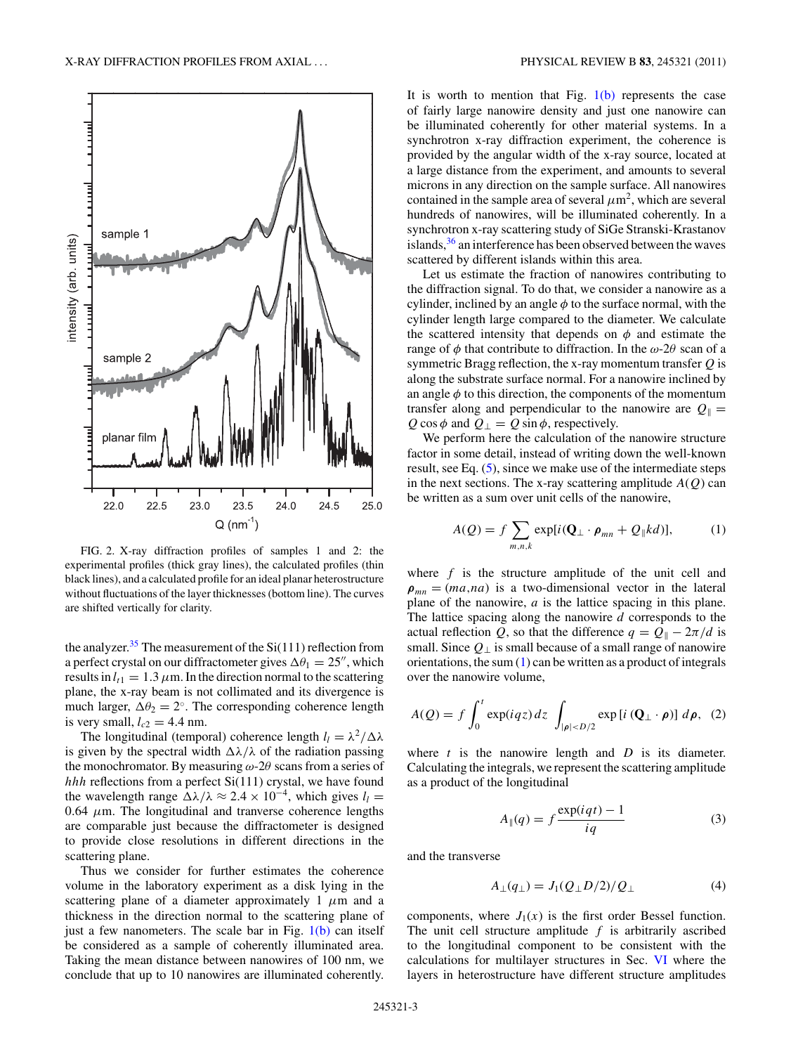<span id="page-2-0"></span>

FIG. 2. X-ray diffraction profiles of samples 1 and 2: the experimental profiles (thick gray lines), the calculated profiles (thin black lines), and a calculated profile for an ideal planar heterostructure without fluctuations of the layer thicknesses (bottom line). The curves are shifted vertically for clarity.

the analyzer.<sup>[35](#page-8-0)</sup> The measurement of the  $Si(111)$  reflection from a perfect crystal on our diffractometer gives  $\Delta\theta_1 = 25''$ , which results in  $l_{t1} = 1.3 \mu$ m. In the direction normal to the scattering plane, the x-ray beam is not collimated and its divergence is much larger,  $\Delta \theta_2 = 2^\circ$ . The corresponding coherence length is very small,  $l_{c2} = 4.4$  nm.

The longitudinal (temporal) coherence length  $l_l = \lambda^2/\Delta\lambda$ is given by the spectral width  $\Delta\lambda/\lambda$  of the radiation passing the monochromator. By measuring *ω*-2*θ* scans from a series of *hhh* reflections from a perfect Si(111) crystal, we have found the wavelength range  $\Delta\lambda/\lambda \approx 2.4 \times 10^{-4}$ , which gives  $l_l =$  $0.64 \mu$ m. The longitudinal and tranverse coherence lengths are comparable just because the diffractometer is designed to provide close resolutions in different directions in the scattering plane.

Thus we consider for further estimates the coherence volume in the laboratory experiment as a disk lying in the scattering plane of a diameter approximately 1  $\mu$ m and a thickness in the direction normal to the scattering plane of just a few nanometers. The scale bar in Fig.  $1(b)$  can itself be considered as a sample of coherently illuminated area. Taking the mean distance between nanowires of 100 nm, we conclude that up to 10 nanowires are illuminated coherently.

It is worth to mention that Fig.  $1(b)$  represents the case of fairly large nanowire density and just one nanowire can be illuminated coherently for other material systems. In a synchrotron x-ray diffraction experiment, the coherence is provided by the angular width of the x-ray source, located at a large distance from the experiment, and amounts to several microns in any direction on the sample surface. All nanowires contained in the sample area of several  $\mu$ m<sup>2</sup>, which are several hundreds of nanowires, will be illuminated coherently. In a synchrotron x-ray scattering study of SiGe Stranski-Krastanov islands, $36$  an interference has been observed between the waves scattered by different islands within this area.

Let us estimate the fraction of nanowires contributing to the diffraction signal. To do that, we consider a nanowire as a cylinder, inclined by an angle *φ* to the surface normal, with the cylinder length large compared to the diameter. We calculate the scattered intensity that depends on  $\phi$  and estimate the range of *φ* that contribute to diffraction. In the *ω*-2*θ* scan of a symmetric Bragg reflection, the x-ray momentum transfer *Q* is along the substrate surface normal. For a nanowire inclined by an angle  $\phi$  to this direction, the components of the momentum transfer along and perpendicular to the nanowire are  $Q_{\parallel} =$  $Q \cos \phi$  and  $Q_{\perp} = Q \sin \phi$ , respectively.

We perform here the calculation of the nanowire structure factor in some detail, instead of writing down the well-known result, see Eq. [\(5\)](#page-3-0), since we make use of the intermediate steps in the next sections. The x-ray scattering amplitude  $A(Q)$  can be written as a sum over unit cells of the nanowire,

$$
A(Q) = f \sum_{m,n,k} \exp[i(\mathbf{Q}_{\perp} \cdot \boldsymbol{\rho}_{mn} + Q_{\parallel}kd)], \qquad (1)
$$

where *f* is the structure amplitude of the unit cell and  $\rho_{mn} = (ma, na)$  is a two-dimensional vector in the lateral plane of the nanowire, *a* is the lattice spacing in this plane. The lattice spacing along the nanowire *d* corresponds to the actual reflection *Q*, so that the difference  $q = Q_{\parallel} - 2\pi/d$  is small. Since *Q*<sup>⊥</sup> is small because of a small range of nanowire orientations, the sum  $(1)$  can be written as a product of integrals over the nanowire volume,

$$
A(Q) = f \int_0^t \exp(i\,qz) \, dz \int_{|\rho| < D/2} \exp\left[i\left(\mathbf{Q}_\perp \cdot \boldsymbol{\rho}\right)\right] \, d\boldsymbol{\rho}, \tag{2}
$$

where  $t$  is the nanowire length and  $D$  is its diameter. Calculating the integrals, we represent the scattering amplitude as a product of the longitudinal

$$
A_{\parallel}(q) = f \frac{\exp(iqt) - 1}{iq} \tag{3}
$$

and the transverse

$$
A_{\perp}(q_{\perp}) = J_1(Q_{\perp}D/2)/Q_{\perp} \tag{4}
$$

components, where  $J_1(x)$  is the first order Bessel function. The unit cell structure amplitude *f* is arbitrarily ascribed to the longitudinal component to be consistent with the calculations for multilayer structures in Sec. [VI](#page-5-0) where the layers in heterostructure have different structure amplitudes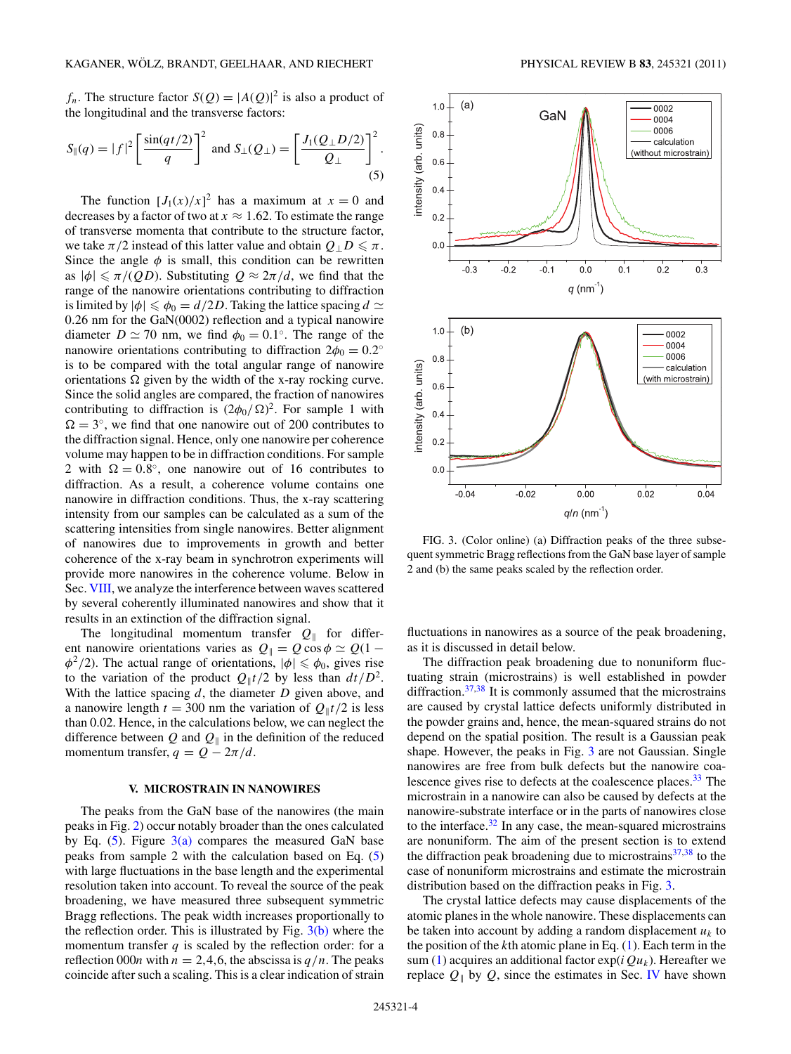<span id="page-3-0"></span>*f<sub>n</sub>*. The structure factor  $S(Q) = |A(Q)|^2$  is also a product of the longitudinal and the transverse factors:

$$
S_{\parallel}(q) = |f|^2 \left[ \frac{\sin(qt/2)}{q} \right]^2 \text{ and } S_{\perp}(Q_{\perp}) = \left[ \frac{J_1(Q_{\perp}D/2)}{Q_{\perp}} \right]^2.
$$
\n<sup>(5)</sup>

The function  $[J_1(x)/x]^2$  has a maximum at  $x = 0$  and decreases by a factor of two at  $x \approx 1.62$ . To estimate the range of transverse momenta that contribute to the structure factor, we take  $\pi/2$  instead of this latter value and obtain  $Q_{\perp}D \leq \pi$ . Since the angle  $\phi$  is small, this condition can be rewritten as  $|\phi| \le \pi/(QD)$ . Substituting  $Q \approx 2\pi/d$ , we find that the range of the nanowire orientations contributing to diffraction is limited by  $|\phi| \leqslant \phi_0 = d/2D$ . Taking the lattice spacing  $d \simeq$ 0*.*26 nm for the GaN(0002) reflection and a typical nanowire diameter  $D \simeq 70$  nm, we find  $\phi_0 = 0.1^\circ$ . The range of the nanowire orientations contributing to diffraction  $2\phi_0 = 0.2^\circ$ is to be compared with the total angular range of nanowire orientations  $\Omega$  given by the width of the x-ray rocking curve. Since the solid angles are compared, the fraction of nanowires contributing to diffraction is  $(2\phi_0/\Omega)^2$ . For sample 1 with  $\Omega = 3^\circ$ , we find that one nanowire out of 200 contributes to the diffraction signal. Hence, only one nanowire per coherence volume may happen to be in diffraction conditions. For sample 2 with  $\Omega = 0.8^\circ$ , one nanowire out of 16 contributes to diffraction. As a result, a coherence volume contains one nanowire in diffraction conditions. Thus, the x-ray scattering intensity from our samples can be calculated as a sum of the scattering intensities from single nanowires. Better alignment of nanowires due to improvements in growth and better coherence of the x-ray beam in synchrotron experiments will provide more nanowires in the coherence volume. Below in Sec. [VIII,](#page-6-0) we analyze the interference between waves scattered by several coherently illuminated nanowires and show that it results in an extinction of the diffraction signal.

The longitudinal momentum transfer  $Q_{\parallel}$  for different nanowire orientations varies as  $Q_{\parallel} = Q \cos \phi \simeq Q(1 \phi^2/2$ ). The actual range of orientations,  $|\phi| \le \phi_0$ , gives rise to the variation of the product  $Q_{\parallel}t/2$  by less than  $dt/D^2$ . With the lattice spacing *d*, the diameter *D* given above, and a nanowire length  $t = 300$  nm the variation of  $Q_{\parallel}t/2$  is less than 0.02. Hence, in the calculations below, we can neglect the difference between  $Q$  and  $Q_{\parallel}$  in the definition of the reduced momentum transfer,  $q = Q - 2\pi/d$ .

### **V. MICROSTRAIN IN NANOWIRES**

The peaks from the GaN base of the nanowires (the main peaks in Fig. [2\)](#page-2-0) occur notably broader than the ones calculated by Eq.  $(5)$ . Figure  $3(a)$  compares the measured GaN base peaks from sample 2 with the calculation based on Eq. (5) with large fluctuations in the base length and the experimental resolution taken into account. To reveal the source of the peak broadening, we have measured three subsequent symmetric Bragg reflections. The peak width increases proportionally to the reflection order. This is illustrated by Fig.  $3(b)$  where the momentum transfer  $q$  is scaled by the reflection order: for a reflection 000*n* with  $n = 2, 4, 6$ , the abscissa is  $q/n$ . The peaks coincide after such a scaling. This is a clear indication of strain



FIG. 3. (Color online) (a) Diffraction peaks of the three subsequent symmetric Bragg reflections from the GaN base layer of sample 2 and (b) the same peaks scaled by the reflection order.

fluctuations in nanowires as a source of the peak broadening, as it is discussed in detail below.

The diffraction peak broadening due to nonuniform fluctuating strain (microstrains) is well established in powder diffraction. $37,38$  It is commonly assumed that the microstrains are caused by crystal lattice defects uniformly distributed in the powder grains and, hence, the mean-squared strains do not depend on the spatial position. The result is a Gaussian peak shape. However, the peaks in Fig. 3 are not Gaussian. Single nanowires are free from bulk defects but the nanowire coalescence gives rise to defects at the coalescence places.[33](#page-8-0) The microstrain in a nanowire can also be caused by defects at the nanowire-substrate interface or in the parts of nanowires close to the interface. $32$  In any case, the mean-squared microstrains are nonuniform. The aim of the present section is to extend the diffraction peak broadening due to microstrains $37,38$  to the case of nonuniform microstrains and estimate the microstrain distribution based on the diffraction peaks in Fig. 3.

The crystal lattice defects may cause displacements of the atomic planes in the whole nanowire. These displacements can be taken into account by adding a random displacement  $u_k$  to the position of the *k*th atomic plane in Eq. [\(1\)](#page-2-0). Each term in the sum [\(1\)](#page-2-0) acquires an additional factor  $\exp(iQu_k)$ . Hereafter we replace  $Q_{\parallel}$  by  $Q$ , since the estimates in Sec. [IV](#page-1-0) have shown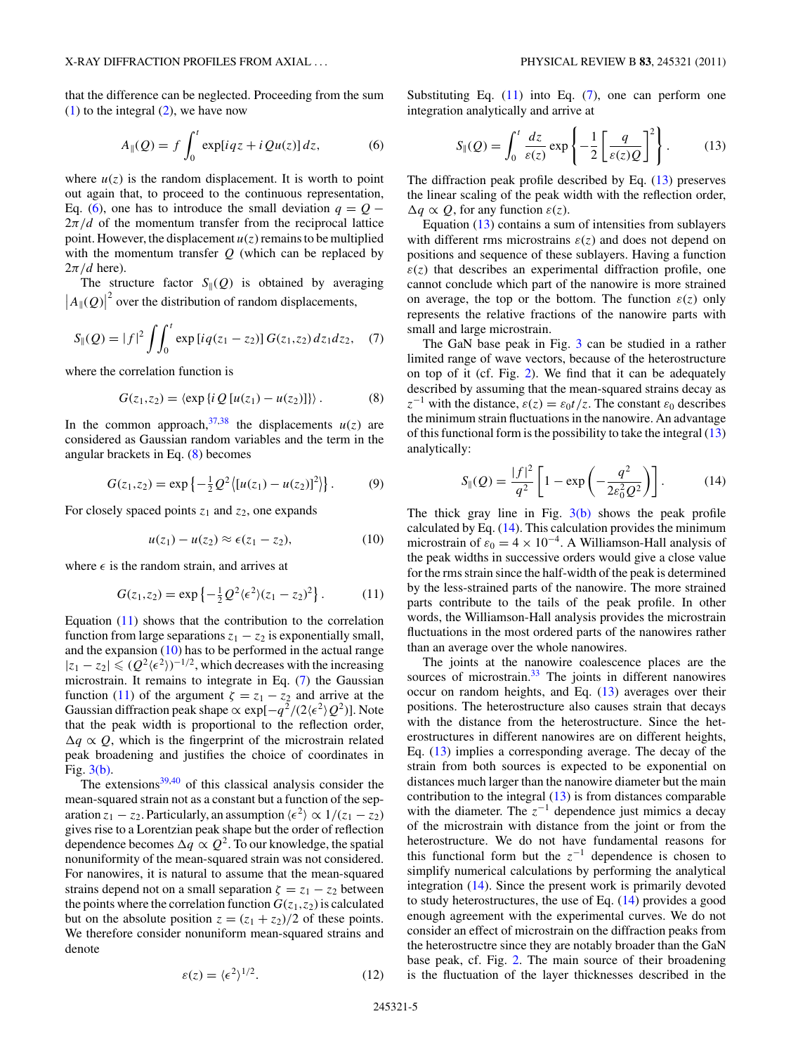<span id="page-4-0"></span>that the difference can be neglected. Proceeding from the sum  $(1)$  to the integral  $(2)$ , we have now

$$
A_{\parallel}(Q) = f \int_0^t \exp[iqz + iQu(z)] dz, \qquad (6)
$$

where  $u(z)$  is the random displacement. It is worth to point out again that, to proceed to the continuous representation, Eq. (6), one has to introduce the small deviation  $q = Q 2\pi/d$  of the momentum transfer from the reciprocal lattice point. However, the displacement  $u(z)$  remains to be multiplied with the momentum transfer *Q* (which can be replaced by  $2\pi/d$  here).

The structure factor  $S_{\parallel}(Q)$  is obtained by averaging  $|A_{\parallel}(Q)|^2$  over the distribution of random displacements,

$$
S_{\parallel}(Q) = |f|^{2} \iint_{0}^{t} \exp[iq(z_{1}-z_{2})] G(z_{1}, z_{2}) dz_{1} dz_{2}, \quad (7)
$$

where the correlation function is

$$
G(z_1, z_2) = \langle \exp\{i \, Q \, [u(z_1) - u(z_2)]\} \rangle \,. \tag{8}
$$

In the common approach,  $37,38$  the displacements  $u(z)$  are considered as Gaussian random variables and the term in the angular brackets in Eq. (8) becomes

$$
G(z_1, z_2) = \exp \left\{-\frac{1}{2}Q^2 \left\langle \left[u(z_1) - u(z_2)\right]^2 \right\rangle\right\}.
$$
 (9)

For closely spaced points  $z_1$  and  $z_2$ , one expands

$$
u(z_1) - u(z_2) \approx \epsilon(z_1 - z_2), \qquad (10)
$$

where  $\epsilon$  is the random strain, and arrives at

$$
G(z_1, z_2) = \exp\left\{-\frac{1}{2}Q^2\langle \epsilon^2 \rangle (z_1 - z_2)^2\right\}.
$$
 (11)

Equation (11) shows that the contribution to the correlation function from large separations  $z_1 - z_2$  is exponentially small, and the expansion (10) has to be performed in the actual range  $|z_1 - z_2| \leq (Q^2 \langle \epsilon^2 \rangle)^{-1/2}$ , which decreases with the increasing microstrain. It remains to integrate in Eq. (7) the Gaussian function (11) of the argument  $\zeta = z_1 - z_2$  and arrive at the Gaussian diffraction peak shape  $\propto \exp[-q^2/(2\langle\epsilon^2\rangle Q^2)]$ . Note that the peak width is proportional to the reflection order,  $\Delta q \propto Q$ , which is the fingerprint of the microstrain related peak broadening and justifies the choice of coordinates in Fig. [3\(b\).](#page-3-0)

The extensions $39,40$  of this classical analysis consider the mean-squared strain not as a constant but a function of the separation  $z_1 - z_2$ . Particularly, an assumption  $\langle \epsilon^2 \rangle \propto 1/(z_1 - z_2)$ gives rise to a Lorentzian peak shape but the order of reflection dependence becomes  $\Delta q \propto Q^2$ . To our knowledge, the spatial nonuniformity of the mean-squared strain was not considered. For nanowires, it is natural to assume that the mean-squared strains depend not on a small separation  $\zeta = z_1 - z_2$  between the points where the correlation function  $G(z_1, z_2)$  is calculated but on the absolute position  $z = (z_1 + z_2)/2$  of these points. We therefore consider nonuniform mean-squared strains and denote

$$
\varepsilon(z) = \langle \epsilon^2 \rangle^{1/2}.
$$
 (12)

Substituting Eq.  $(11)$  into Eq.  $(7)$ , one can perform one integration analytically and arrive at

$$
S_{\parallel}(Q) = \int_0^t \frac{dz}{\varepsilon(z)} \exp\left\{-\frac{1}{2} \left[\frac{q}{\varepsilon(z)Q}\right]^2\right\}.
$$
 (13)

The diffraction peak profile described by Eq. (13) preserves the linear scaling of the peak width with the reflection order,  $\Delta q \propto Q$ , for any function  $\varepsilon(z)$ .

Equation (13) contains a sum of intensities from sublayers with different rms microstrains  $\varepsilon(z)$  and does not depend on positions and sequence of these sublayers. Having a function  $\varepsilon(z)$  that describes an experimental diffraction profile, one cannot conclude which part of the nanowire is more strained on average, the top or the bottom. The function  $\varepsilon(z)$  only represents the relative fractions of the nanowire parts with small and large microstrain.

The GaN base peak in Fig. [3](#page-3-0) can be studied in a rather limited range of wave vectors, because of the heterostructure on top of it (cf. Fig. [2\)](#page-2-0). We find that it can be adequately described by assuming that the mean-squared strains decay as  $z^{-1}$  with the distance,  $\varepsilon(z) = \varepsilon_0 t/z$ . The constant  $\varepsilon_0$  describes the minimum strain fluctuations in the nanowire. An advantage of this functional form is the possibility to take the integral  $(13)$ analytically:

$$
S_{\parallel}(Q) = \frac{|f|^2}{q^2} \left[ 1 - \exp\left( -\frac{q^2}{2\varepsilon_0^2 Q^2} \right) \right].
$$
 (14)

The thick gray line in Fig.  $3(b)$  shows the peak profile calculated by Eq. (14). This calculation provides the minimum microstrain of  $\varepsilon_0 = 4 \times 10^{-4}$ . A Williamson-Hall analysis of the peak widths in successive orders would give a close value for the rms strain since the half-width of the peak is determined by the less-strained parts of the nanowire. The more strained parts contribute to the tails of the peak profile. In other words, the Williamson-Hall analysis provides the microstrain fluctuations in the most ordered parts of the nanowires rather than an average over the whole nanowires.

The joints at the nanowire coalescence places are the sources of microstrain.<sup>[33](#page-8-0)</sup> The joints in different nanowires occur on random heights, and Eq. (13) averages over their positions. The heterostructure also causes strain that decays with the distance from the heterostructure. Since the heterostructures in different nanowires are on different heights, Eq. (13) implies a corresponding average. The decay of the strain from both sources is expected to be exponential on distances much larger than the nanowire diameter but the main contribution to the integral (13) is from distances comparable with the diameter. The  $z^{-1}$  dependence just mimics a decay of the microstrain with distance from the joint or from the heterostructure. We do not have fundamental reasons for this functional form but the  $z^{-1}$  dependence is chosen to simplify numerical calculations by performing the analytical integration (14). Since the present work is primarily devoted to study heterostructures, the use of Eq. (14) provides a good enough agreement with the experimental curves. We do not consider an effect of microstrain on the diffraction peaks from the heterostructre since they are notably broader than the GaN base peak, cf. Fig. [2.](#page-2-0) The main source of their broadening is the fluctuation of the layer thicknesses described in the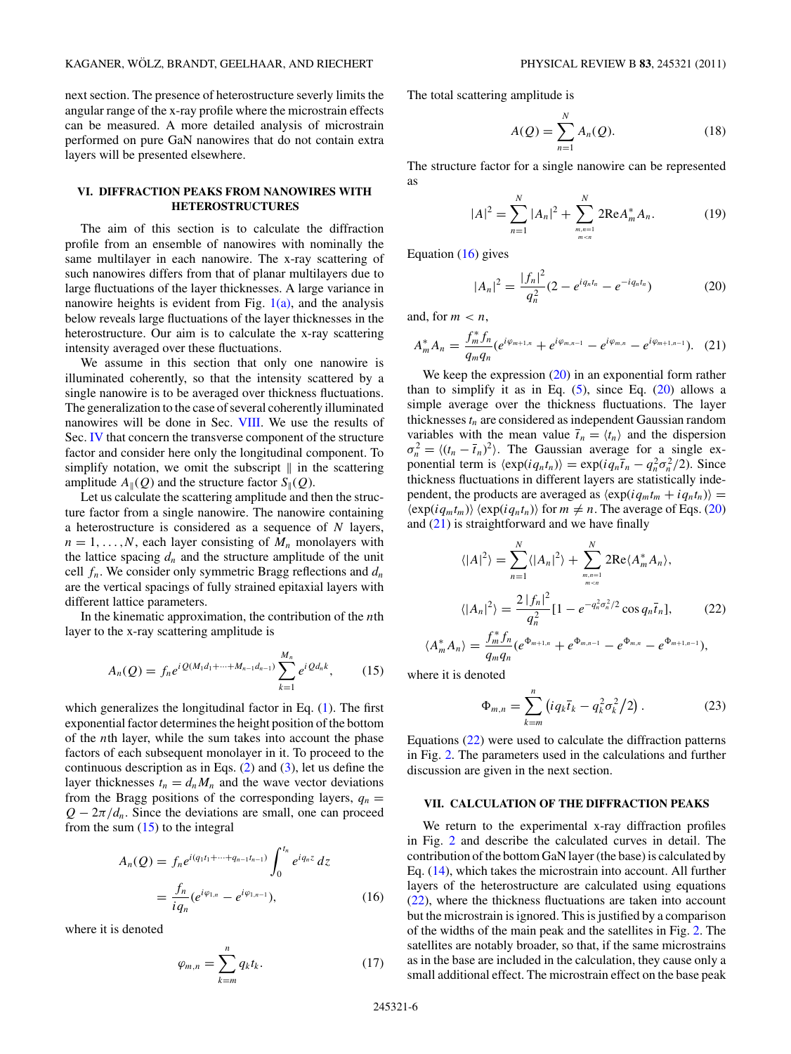<span id="page-5-0"></span>next section. The presence of heterostructure severly limits the angular range of the x-ray profile where the microstrain effects can be measured. A more detailed analysis of microstrain performed on pure GaN nanowires that do not contain extra layers will be presented elsewhere.

# **VI. DIFFRACTION PEAKS FROM NANOWIRES WITH HETEROSTRUCTURES**

The aim of this section is to calculate the diffraction profile from an ensemble of nanowires with nominally the same multilayer in each nanowire. The x-ray scattering of such nanowires differs from that of planar multilayers due to large fluctuations of the layer thicknesses. A large variance in nanowire heights is evident from Fig. [1\(a\),](#page-1-0) and the analysis below reveals large fluctuations of the layer thicknesses in the heterostructure. Our aim is to calculate the x-ray scattering intensity averaged over these fluctuations.

We assume in this section that only one nanowire is illuminated coherently, so that the intensity scattered by a single nanowire is to be averaged over thickness fluctuations. The generalization to the case of several coherently illuminated nanowires will be done in Sec. [VIII.](#page-6-0) We use the results of Sec. [IV](#page-1-0) that concern the transverse component of the structure factor and consider here only the longitudinal component. To simplify notation, we omit the subscript  $\parallel$  in the scattering amplitude  $A_{\parallel}(Q)$  and the structure factor  $S_{\parallel}(Q)$ .

Let us calculate the scattering amplitude and then the structure factor from a single nanowire. The nanowire containing a heterostructure is considered as a sequence of *N* layers,  $n = 1, \ldots, N$ , each layer consisting of  $M_n$  monolayers with the lattice spacing  $d_n$  and the structure amplitude of the unit cell *fn*. We consider only symmetric Bragg reflections and *dn* are the vertical spacings of fully strained epitaxial layers with different lattice parameters.

In the kinematic approximation, the contribution of the *n*th layer to the x-ray scattering amplitude is

$$
A_n(Q) = f_n e^{i Q(M_1 d_1 + \dots + M_{n-1} d_{n-1})} \sum_{k=1}^{M_n} e^{i Q d_n k}, \qquad (15)
$$

which generalizes the longitudinal factor in Eq. [\(1\)](#page-2-0). The first exponential factor determines the height position of the bottom of the *n*th layer, while the sum takes into account the phase factors of each subsequent monolayer in it. To proceed to the continuous description as in Eqs.  $(2)$  and  $(3)$ , let us define the layer thicknesses  $t_n = d_n M_n$  and the wave vector deviations from the Bragg positions of the corresponding layers,  $q_n =$  $Q - 2\pi/d_n$ . Since the deviations are small, one can proceed from the sum  $(15)$  to the integral

$$
A_n(Q) = f_n e^{i(q_1 t_1 + \dots + q_{n-1} t_{n-1})} \int_0^{t_n} e^{iq_n z} dz
$$
  
= 
$$
\frac{f_n}{iq_n} (e^{i\varphi_{1,n}} - e^{i\varphi_{1,n-1}}),
$$
 (16)

where it is denoted

$$
\varphi_{m,n} = \sum_{k=m}^{n} q_k t_k. \tag{17}
$$

The total scattering amplitude is

$$
A(Q) = \sum_{n=1}^{N} A_n(Q).
$$
 (18)

The structure factor for a single nanowire can be represented as

$$
|A|^2 = \sum_{n=1}^{N} |A_n|^2 + \sum_{m,n=1 \atop m < n}^{N} 2\text{Re}A_m^* A_n. \tag{19}
$$

Equation (16) gives

$$
|A_n|^2 = \frac{|f_n|^2}{q_n^2} (2 - e^{iq_n t_n} - e^{-iq_n t_n})
$$
 (20)

and, for  $m < n$ ,

$$
A_m^* A_n = \frac{f_m^* f_n}{q_m q_n} (e^{i \varphi_{m+1,n}} + e^{i \varphi_{m,n-1}} - e^{i \varphi_{m,n}} - e^{i \varphi_{m+1,n-1}}). \tag{21}
$$

We keep the expression  $(20)$  in an exponential form rather than to simplify it as in Eq.  $(5)$ , since Eq.  $(20)$  allows a simple average over the thickness fluctuations. The layer thicknesses  $t_n$  are considered as independent Gaussian random variables with the mean value  $\bar{t}_n = \langle t_n \rangle$  and the dispersion  $\sigma_n^2 = \langle (t_n - \bar{t}_n)^2 \rangle$ . The Gaussian average for a single exponential term is  $\langle \exp(i q_n t_n) \rangle = \exp(i q_n \bar{t}_n - q_n^2 \sigma_n^2 / 2)$ . Since thickness fluctuations in different layers are statistically independent, the products are averaged as  $\langle \exp(i q_m t_m + i q_n t_n) \rangle$  =  $\langle \exp(i q_m t_m) \rangle$   $\langle \exp(i q_n t_n) \rangle$  for  $m \neq n$ . The average of Eqs. (20) and  $(21)$  is straightforward and we have finally

$$
\langle |A|^2 \rangle = \sum_{n=1}^{N} \langle |A_n|^2 \rangle + \sum_{m,n=1 \atop m  

$$
\langle |A_n|^2 \rangle = \frac{2 |f_n|^2}{q_n^2} [1 - e^{-q_n^2 \sigma_n^2/2} \cos q_n \bar{t}_n], \qquad (22)
$$
  

$$
\langle A_m^* A_n \rangle = \frac{f_m^* f_n}{q_m q_n} (e^{\Phi_{m+1,n}} + e^{\Phi_{m,n-1}} - e^{\Phi_{m,n}} - e^{\Phi_{m+1,n-1}}),
$$
$$

where it is denoted

$$
\Phi_{m,n} = \sum_{k=m}^{n} \left( i q_k \bar{t}_k - q_k^2 \sigma_k^2 / 2 \right).
$$
 (23)

Equations (22) were used to calculate the diffraction patterns in Fig. [2.](#page-2-0) The parameters used in the calculations and further discussion are given in the next section.

#### **VII. CALCULATION OF THE DIFFRACTION PEAKS**

We return to the experimental x-ray diffraction profiles in Fig. [2](#page-2-0) and describe the calculated curves in detail. The contribution of the bottom GaN layer (the base) is calculated by Eq. [\(14\)](#page-4-0), which takes the microstrain into account. All further layers of the heterostructure are calculated using equations (22), where the thickness fluctuations are taken into account but the microstrain is ignored. This is justified by a comparison of the widths of the main peak and the satellites in Fig. [2.](#page-2-0) The satellites are notably broader, so that, if the same microstrains as in the base are included in the calculation, they cause only a small additional effect. The microstrain effect on the base peak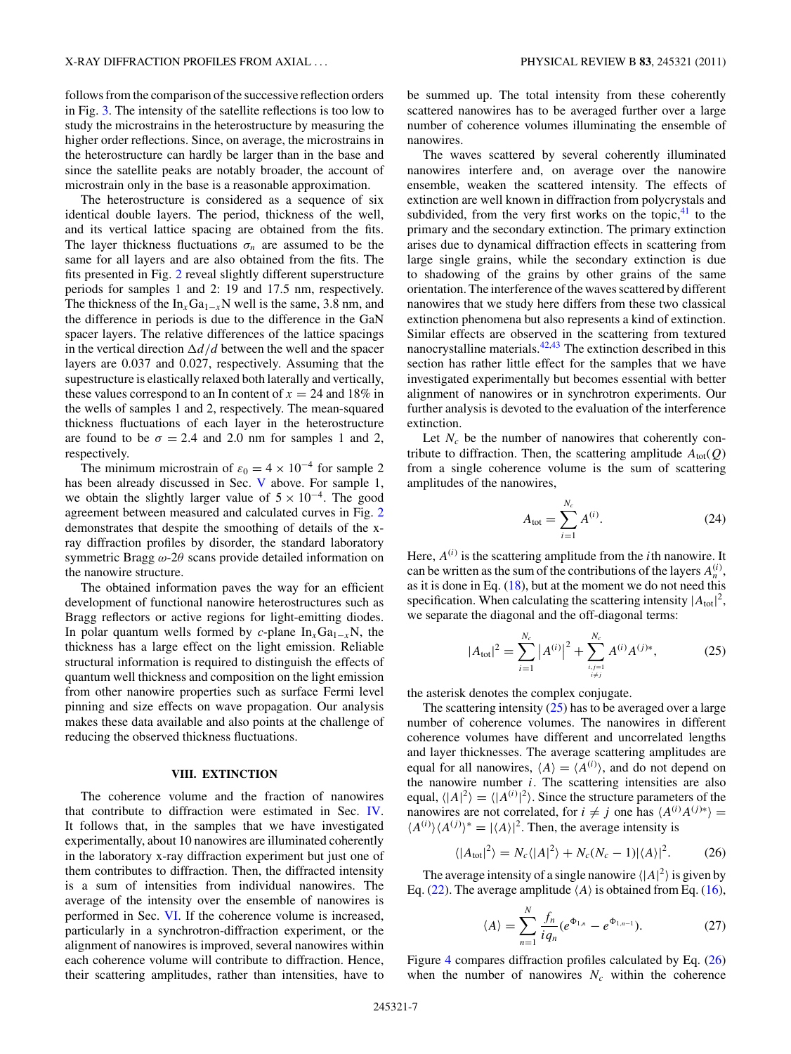<span id="page-6-0"></span>follows from the comparison of the successive reflection orders in Fig. [3.](#page-3-0) The intensity of the satellite reflections is too low to study the microstrains in the heterostructure by measuring the higher order reflections. Since, on average, the microstrains in the heterostructure can hardly be larger than in the base and since the satellite peaks are notably broader, the account of microstrain only in the base is a reasonable approximation.

The heterostructure is considered as a sequence of six identical double layers. The period, thickness of the well, and its vertical lattice spacing are obtained from the fits. The layer thickness fluctuations  $\sigma_n$  are assumed to be the same for all layers and are also obtained from the fits. The fits presented in Fig. [2](#page-2-0) reveal slightly different superstructure periods for samples 1 and 2: 19 and 17.5 nm, respectively. The thickness of the  $In_xGa_{1-x}N$  well is the same, 3.8 nm, and the difference in periods is due to the difference in the GaN spacer layers. The relative differences of the lattice spacings in the vertical direction  $\Delta d/d$  between the well and the spacer layers are 0.037 and 0.027, respectively. Assuming that the supestructure is elastically relaxed both laterally and vertically, these values correspond to an In content of  $x = 24$  and 18% in the wells of samples 1 and 2, respectively. The mean-squared thickness fluctuations of each layer in the heterostructure are found to be  $\sigma = 2.4$  and 2.0 nm for samples 1 and 2, respectively.

The minimum microstrain of  $\varepsilon_0 = 4 \times 10^{-4}$  for sample 2 has been already discussed in Sec. [V](#page-3-0) above. For sample 1, we obtain the slightly larger value of  $5 \times 10^{-4}$ . The good agreement between measured and calculated curves in Fig. [2](#page-2-0) demonstrates that despite the smoothing of details of the xray diffraction profiles by disorder, the standard laboratory symmetric Bragg *ω*-2*θ* scans provide detailed information on the nanowire structure.

The obtained information paves the way for an efficient development of functional nanowire heterostructures such as Bragg reflectors or active regions for light-emitting diodes. In polar quantum wells formed by *c*-plane  $In_xGa_{1-x}N$ , the thickness has a large effect on the light emission. Reliable structural information is required to distinguish the effects of quantum well thickness and composition on the light emission from other nanowire properties such as surface Fermi level pinning and size effects on wave propagation. Our analysis makes these data available and also points at the challenge of reducing the observed thickness fluctuations.

### **VIII. EXTINCTION**

The coherence volume and the fraction of nanowires that contribute to diffraction were estimated in Sec. [IV.](#page-1-0) It follows that, in the samples that we have investigated experimentally, about 10 nanowires are illuminated coherently in the laboratory x-ray diffraction experiment but just one of them contributes to diffraction. Then, the diffracted intensity is a sum of intensities from individual nanowires. The average of the intensity over the ensemble of nanowires is performed in Sec. [VI.](#page-5-0) If the coherence volume is increased, particularly in a synchrotron-diffraction experiment, or the alignment of nanowires is improved, several nanowires within each coherence volume will contribute to diffraction. Hence, their scattering amplitudes, rather than intensities, have to be summed up. The total intensity from these coherently scattered nanowires has to be averaged further over a large number of coherence volumes illuminating the ensemble of nanowires.

The waves scattered by several coherently illuminated nanowires interfere and, on average over the nanowire ensemble, weaken the scattered intensity. The effects of extinction are well known in diffraction from polycrystals and subdivided, from the very first works on the topic, $41$  to the primary and the secondary extinction. The primary extinction arises due to dynamical diffraction effects in scattering from large single grains, while the secondary extinction is due to shadowing of the grains by other grains of the same orientation. The interference of the waves scattered by different nanowires that we study here differs from these two classical extinction phenomena but also represents a kind of extinction. Similar effects are observed in the scattering from textured nanocrystalline materials. $42,43$  The extinction described in this section has rather little effect for the samples that we have investigated experimentally but becomes essential with better alignment of nanowires or in synchrotron experiments. Our further analysis is devoted to the evaluation of the interference extinction.

Let  $N_c$  be the number of nanowires that coherently contribute to diffraction. Then, the scattering amplitude  $A_{\text{tot}}(Q)$ from a single coherence volume is the sum of scattering amplitudes of the nanowires,

$$
A_{\text{tot}} = \sum_{i=1}^{N_c} A^{(i)}.
$$
 (24)

Here,  $A^{(i)}$  is the scattering amplitude from the *i*th nanowire. It can be written as the sum of the contributions of the layers  $A_n^{(i)}$ , as it is done in Eq.  $(18)$ , but at the moment we do not need this specification. When calculating the scattering intensity  $|A_{\text{tot}}|^2$ , we separate the diagonal and the off-diagonal terms:

$$
|A_{\text{tot}}|^2 = \sum_{i=1}^{N_c} |A^{(i)}|^2 + \sum_{\substack{i,j=1 \ i \neq j}}^{N_c} A^{(i)} A^{(j)*}, \tag{25}
$$

the asterisk denotes the complex conjugate.

The scattering intensity  $(25)$  has to be averaged over a large number of coherence volumes. The nanowires in different coherence volumes have different and uncorrelated lengths and layer thicknesses. The average scattering amplitudes are equal for all nanowires,  $\langle A \rangle = \langle A^{(i)} \rangle$ , and do not depend on the nanowire number *i*. The scattering intensities are also equal,  $\langle |A|^2 \rangle = \langle |A^{(i)}|^2 \rangle$ . Since the structure parameters of the nanowires are not correlated, for  $i \neq j$  one has  $\langle A^{(i)} A^{(j)*} \rangle =$  $\langle A^{(i)} \rangle \langle A^{(j)} \rangle^* = |\langle A \rangle|^2$ . Then, the average intensity is

$$
\langle |A_{\text{tot}}|^2 \rangle = N_c \langle |A|^2 \rangle + N_c (N_c - 1) |\langle A \rangle|^2. \tag{26}
$$

The average intensity of a single nanowire  $\langle |A|^2 \rangle$  is given by Eq. [\(22\)](#page-5-0). The average amplitude  $\langle A \rangle$  is obtained from Eq. [\(16\)](#page-5-0),

$$
\langle A \rangle = \sum_{n=1}^{N} \frac{f_n}{iq_n} (e^{\Phi_{1,n}} - e^{\Phi_{1,n-1}}). \tag{27}
$$

Figure [4](#page-7-0) compares diffraction profiles calculated by Eq. (26) when the number of nanowires  $N_c$  within the coherence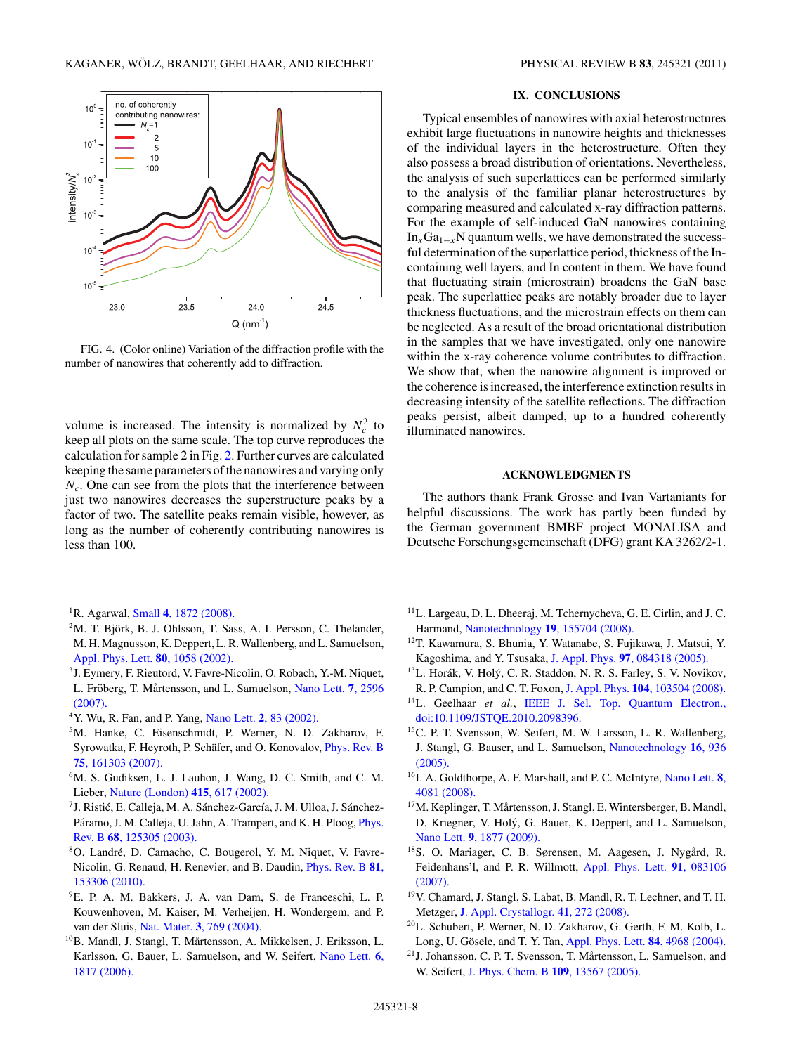<span id="page-7-0"></span>

FIG. 4. (Color online) Variation of the diffraction profile with the number of nanowires that coherently add to diffraction.

volume is increased. The intensity is normalized by  $N_c^2$  to keep all plots on the same scale. The top curve reproduces the calculation for sample 2 in Fig. [2.](#page-2-0) Further curves are calculated keeping the same parameters of the nanowires and varying only *N<sub>c</sub>*. One can see from the plots that the interference between just two nanowires decreases the superstructure peaks by a factor of two. The satellite peaks remain visible, however, as long as the number of coherently contributing nanowires is less than 100.

- 1R. Agarwal, Small **4**[, 1872 \(2008\).](http://dx.doi.org/10.1002/smll.200800556)
- <sup>2</sup>M. T. Björk, B. J. Ohlsson, T. Sass, A. I. Persson, C. Thelander, M. H. Magnusson, K. Deppert, L. R. Wallenberg, and L. Samuelson, [Appl. Phys. Lett.](http://dx.doi.org/10.1063/1.1447312) **80**, 1058 (2002).
- 3J. Eymery, F. Rieutord, V. Favre-Nicolin, O. Robach, Y.-M. Niquet, L. Fröberg, T. Mårtensson, and L. Samuelson, [Nano Lett.](http://dx.doi.org/10.1021/nl070888q) 7, 2596 [\(2007\).](http://dx.doi.org/10.1021/nl070888q)
- 4Y. Wu, R. Fan, and P. Yang, Nano Lett. **2**[, 83 \(2002\).](http://dx.doi.org/10.1021/nl0156888)
- 5M. Hanke, C. Eisenschmidt, P. Werner, N. D. Zakharov, F. Syrowatka, F. Heyroth, P. Schäfer, and O. Konovalov, *[Phys. Rev. B](http://dx.doi.org/10.1103/PhysRevB.75.161303)* **75**[, 161303 \(2007\).](http://dx.doi.org/10.1103/PhysRevB.75.161303)
- 6M. S. Gudiksen, L. J. Lauhon, J. Wang, D. C. Smith, and C. M. Lieber, [Nature \(London\)](http://dx.doi.org/10.1038/415617a) **415**, 617 (2002).
- <sup>7</sup>J. Ristić, E. Calleja, M. A. Sánchez-García, J. M. Ulloa, J. Sánchez-Páramo, J. M. Calleja, U. Jahn, A. Trampert, and K. H. Ploog, *[Phys.](http://dx.doi.org/10.1103/PhysRevB.68.125305)* Rev. B **68**[, 125305 \(2003\).](http://dx.doi.org/10.1103/PhysRevB.68.125305)
- <sup>8</sup>O. Landré, D. Camacho, C. Bougerol, Y. M. Niquet, V. Favre-Nicolin, G. Renaud, H. Renevier, and B. Daudin, [Phys. Rev. B](http://dx.doi.org/10.1103/PhysRevB.81.153306) **81**, [153306 \(2010\).](http://dx.doi.org/10.1103/PhysRevB.81.153306)
- 9E. P. A. M. Bakkers, J. A. van Dam, S. de Franceschi, L. P. Kouwenhoven, M. Kaiser, M. Verheijen, H. Wondergem, and P. van der Sluis, Nat. Mater. **3**[, 769 \(2004\).](http://dx.doi.org/10.1038/nmat1235)
- <sup>10</sup>B. Mandl, J. Stangl, T. Mårtensson, A. Mikkelsen, J. Eriksson, L. Karlsson, G. Bauer, L. Samuelson, and W. Seifert, [Nano Lett.](http://dx.doi.org/10.1021/nl060452v) **6**, [1817 \(2006\).](http://dx.doi.org/10.1021/nl060452v)

### **IX. CONCLUSIONS**

Typical ensembles of nanowires with axial heterostructures exhibit large fluctuations in nanowire heights and thicknesses of the individual layers in the heterostructure. Often they also possess a broad distribution of orientations. Nevertheless, the analysis of such superlattices can be performed similarly to the analysis of the familiar planar heterostructures by comparing measured and calculated x-ray diffraction patterns. For the example of self-induced GaN nanowires containing  $In_xGa_{1-x}N$  quantum wells, we have demonstrated the successful determination of the superlattice period, thickness of the Incontaining well layers, and In content in them. We have found that fluctuating strain (microstrain) broadens the GaN base peak. The superlattice peaks are notably broader due to layer thickness fluctuations, and the microstrain effects on them can be neglected. As a result of the broad orientational distribution in the samples that we have investigated, only one nanowire within the x-ray coherence volume contributes to diffraction. We show that, when the nanowire alignment is improved or the coherence is increased, the interference extinction results in decreasing intensity of the satellite reflections. The diffraction peaks persist, albeit damped, up to a hundred coherently illuminated nanowires.

### **ACKNOWLEDGMENTS**

The authors thank Frank Grosse and Ivan Vartaniants for helpful discussions. The work has partly been funded by the German government BMBF project MONALISA and Deutsche Forschungsgemeinschaft (DFG) grant KA 3262/2-1.

- <sup>11</sup>L. Largeau, D. L. Dheeraj, M. Tchernycheva, G. E. Cirlin, and J. C. Harmand, Nanotechnology **19**[, 155704 \(2008\).](http://dx.doi.org/10.1088/0957-4484/19/15/155704)
- 12T. Kawamura, S. Bhunia, Y. Watanabe, S. Fujikawa, J. Matsui, Y. Kagoshima, and Y. Tsusaka, J. Appl. Phys. **97**[, 084318 \(2005\).](http://dx.doi.org/10.1063/1.1863418)
- $13$ L. Horák, V. Holý, C. R. Staddon, N. R. S. Farley, S. V. Novikov, R. P. Campion, and C. T. Foxon, J. Appl. Phys. **104**[, 103504 \(2008\).](http://dx.doi.org/10.1063/1.3021090)
- <sup>14</sup>L. Geelhaar et al., [IEEE J. Sel. Top. Quantum Electron.,](http://dx.doi.org/doi:10.1109/JSTQE.2010.2098396) [doi:10.1109/JSTQE.2010.2098396.](http://dx.doi.org/doi:10.1109/JSTQE.2010.2098396)
- 15C. P. T. Svensson, W. Seifert, M. W. Larsson, L. R. Wallenberg, J. Stangl, G. Bauser, and L. Samuelson, [Nanotechnology](http://dx.doi.org/10.1088/0957-4484/16/6/052) **16**, 936 [\(2005\).](http://dx.doi.org/10.1088/0957-4484/16/6/052)
- 16I. A. Goldthorpe, A. F. Marshall, and P. C. McIntyre, [Nano Lett.](http://dx.doi.org/10.1021/nl802408y) **8**, [4081 \(2008\).](http://dx.doi.org/10.1021/nl802408y)
- <sup>17</sup>M. Keplinger, T. Mårtensson, J. Stangl, E. Wintersberger, B. Mandl, D. Kriegner, V. Holý, G. Bauer, K. Deppert, and L. Samuelson, Nano Lett. **9**[, 1877 \(2009\).](http://dx.doi.org/10.1021/nl803881b)
- <sup>18</sup>S. O. Mariager, C. B. Sørensen, M. Aagesen, J. Nygård, R. Feidenhans'l, and P. R. Willmott, [Appl. Phys. Lett.](http://dx.doi.org/10.1063/1.2769401) **91**, 083106 [\(2007\).](http://dx.doi.org/10.1063/1.2769401)
- 19V. Chamard, J. Stangl, S. Labat, B. Mandl, R. T. Lechner, and T. H. Metzger, [J. Appl. Crystallogr.](http://dx.doi.org/10.1107/S0021889808001167) **41**, 272 (2008).
- 20L. Schubert, P. Werner, N. D. Zakharov, G. Gerth, F. M. Kolb, L. Long, U. Gösele, and T. Y. Tan, [Appl. Phys. Lett.](http://dx.doi.org/10.1063/1.1762701) **84**, 4968 (2004).
- <sup>21</sup>J. Johansson, C. P. T. Svensson, T. Mårtensson, L. Samuelson, and W. Seifert, [J. Phys. Chem. B](http://dx.doi.org/10.1021/jp051702j) **109**, 13567 (2005).